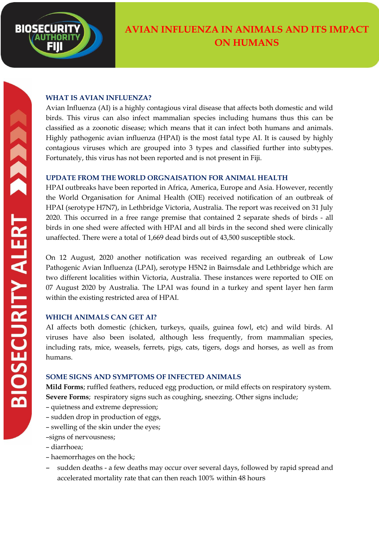

# **WHAT IS AVIAN INFLUENZA?**

Avian Influenza (AI) is a highly contagious viral disease that affects both domestic and wild birds. This virus can also infect mammalian species including humans thus this can be classified as a zoonotic disease; which means that it can infect both humans and animals. Highly pathogenic avian influenza (HPAI) is the most fatal type AI. It is caused by highly contagious viruses which are grouped into 3 types and classified further into subtypes. Fortunately, this virus has not been reported and is not present in Fiji.

### **UPDATE FROM THE WORLD ORGNAISATION FOR ANIMAL HEALTH**

HPAI outbreaks have been reported in Africa, America, Europe and Asia. However, recently the World Organisation for Animal Health (OIE) received notification of an outbreak of HPAI (serotype H7N7), in Lethbridge Victoria, Australia. The report was received on 31 July 2020. This occurred in a free range premise that contained 2 separate sheds of birds - all birds in one shed were affected with HPAI and all birds in the second shed were clinically unaffected. There were a total of 1,669 dead birds out of 43,500 susceptible stock.

On 12 August, 2020 another notification was received regarding an outbreak of Low Pathogenic Avian Influenza (LPAI), serotype H5N2 in Bairnsdale and Lethbridge which are two different localities within Victoria, Australia. These instances were reported to OIE on 07 August 2020 by Australia. The LPAI was found in a turkey and spent layer hen farm within the existing restricted area of HPAI.

# **WHICH ANIMALS CAN GET AI?**

AI affects both domestic (chicken, turkeys, quails, guinea fowl, etc) and wild birds. AI viruses have also been isolated, although less frequently, from mammalian species, including rats, mice, weasels, ferrets, pigs, cats, tigers, dogs and horses, as well as from humans.

# **SOME SIGNS AND SYMPTOMS OF INFECTED ANIMALS**

**Mild Forms**; ruffled feathers, reduced egg production, or mild effects on respiratory system. **Severe Forms**; respiratory signs such as coughing, sneezing. Other signs include;

- quietness and extreme depression;
- sudden drop in production of eggs,
- swelling of the skin under the eyes;

–signs of nervousness;

- diarrhoea;
- haemorrhages on the hock;
- sudden deaths a few deaths may occur over several days, followed by rapid spread and accelerated mortality rate that can then reach 100% within 48 hours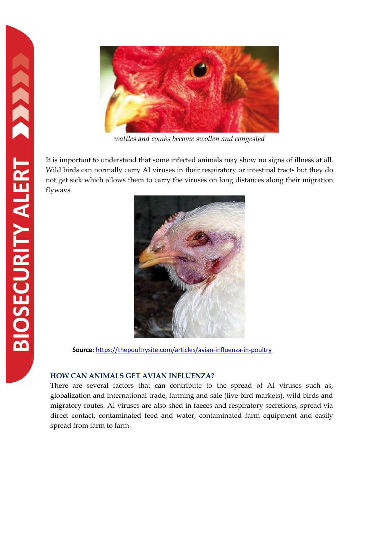

*wattles and combs become swollen and congested*

It is important to understand that some infected animals may show no signs of illness at all. Wild birds can normally carry AI viruses in their respiratory or intestinal tracts but they do not get sick which allows them to carry the viruses on long distances along their migration flyways.



 **Source:** <https://thepoultrysite.com/articles/avian-influenza-in-poultry>

### **HOW CAN ANIMALS GET AVIAN INFLUENZA?**

There are several factors that can contribute to the spread of AI viruses such as, globalization and international trade, farming and sale (live bird markets), wild birds and migratory routes. AI viruses are also shed in faeces and respiratory secretions, spread via direct contact, contaminated feed and water, contaminated farm equipment and easily spread from farm to farm.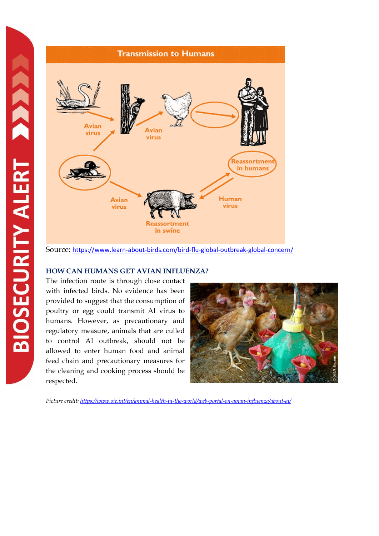

Source: <https://www.learn-about-birds.com/bird-flu-global-outbreak-global-concern/>

### **HOW CAN HUMANS GET AVIAN INFLUENZA?**

The infection route is through close contact with infected birds. No evidence has been provided to suggest that the consumption of poultry or egg could transmit AI virus to humans. However, as precautionary and regulatory measure, animals that are culled to control AI outbreak, should not be allowed to enter human food and animal feed chain and precautionary measures for the cleaning and cooking process should be respected.



*Picture credit:<https://www.oie.int/en/animal-health-in-the-world/web-portal-on-avian-influenza/about-ai/>*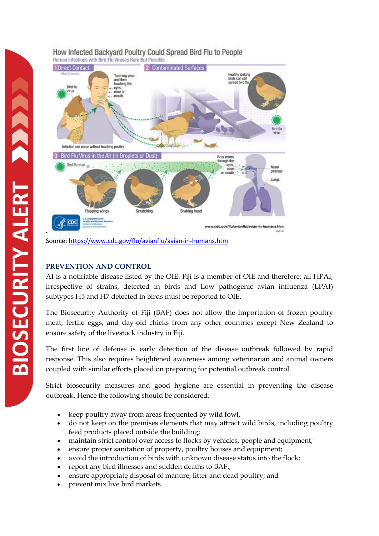

### How Infected Backvard Poultry Could Spread Bird Flu to People Human Infections with Bird Flu Viruses Rare But Possible

Source:<https://www.cdc.gov/flu/avianflu/avian-in-humans.htm>

### **PREVENTION AND CONTROL**

AI is a notifiable disease listed by the OIE. Fiji is a member of OIE and therefore; all HPAI, irrespective of strains, detected in birds and Low pathogenic avian influenza (LPAI) subtypes H5 and H7 detected in birds must be reported to OIE.

The Biosecurity Authority of Fiji (BAF) does not allow the importation of frozen poultry meat, fertile eggs, and day-old chicks from any other countries except New Zealand to ensure safety of the livestock industry in Fiji.

The first line of defense is early detection of the disease outbreak followed by rapid response. This also requires heightened awareness among veterinarian and animal owners coupled with similar efforts placed on preparing for potential outbreak control.

Strict biosecurity measures and good hygiene are essential in preventing the disease outbreak. Hence the following should be considered;

- keep poultry away from areas frequented by wild fowl,
- do not keep on the premises elements that may attract wild birds, including poultry feed products placed outside the building;
- maintain strict control over access to flocks by vehicles, people and equipment;
- ensure proper sanitation of property, poultry houses and equipment;
- avoid the introduction of birds with unknown disease status into the flock;
- report any bird illnesses and sudden deaths to BAF.;
- ensure appropriate disposal of manure, litter and dead poultry; and
- prevent mix live bird markets.

**.**